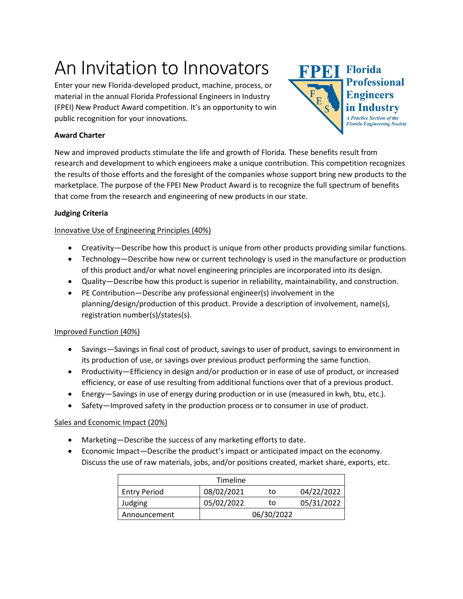# An Invitation to Innovators

Enter your new Florida-developed product, machine, process, or material in the annual Florida Professional Engineers in Industry (FPEI) New Product Award competition. It's an opportunity to win public recognition for your innovations.

## **Award Charter**



New and improved products stimulate the life and growth of Florida. These benefits result from research and development to which engineers make a unique contribution. This competition recognizes the results of those efforts and the foresight of the companies whose support bring new products to the marketplace. The purpose of the FPEI New Product Award is to recognize the full spectrum of benefits that come from the research and engineering of new products in our state.

## **Judging Criteria**

## Innovative Use of Engineering Principles (40%)

- Creativity—Describe how this product is unique from other products providing similar functions.
- Technology—Describe how new or current technology is used in the manufacture or production of this product and/or what novel engineering principles are incorporated into its design.
- Quality—Describe how this product is superior in reliability, maintainability, and construction.
- PE Contribution—Describe any professional engineer(s) involvement in the planning/design/production of this product. Provide a description of involvement, name(s), registration number(s)/states(s).

## Improved Function (40%)

- Savings—Savings in final cost of product, savings to user of product, savings to environment in its production of use, or savings over previous product performing the same function.
- Productivity—Efficiency in design and/or production or in ease of use of product, or increased efficiency, or ease of use resulting from additional functions over that of a previous product.
- Energy—Savings in use of energy during production or in use (measured in kwh, btu, etc.).
- Safety—Improved safety in the production process or to consumer in use of product.

## Sales and Economic Impact (20%)

- Marketing—Describe the success of any marketing efforts to date.
- Economic Impact—Describe the product's impact or anticipated impact on the economy. Discuss the use of raw materials, jobs, and/or positions created, market share, exports, etc.

|                     | Timeline   |            |            |
|---------------------|------------|------------|------------|
| <b>Entry Period</b> | 08/02/2021 | to         | 04/22/2022 |
| Judging             | 05/02/2022 | to         | 05/31/2022 |
| Announcement        |            | 06/30/2022 |            |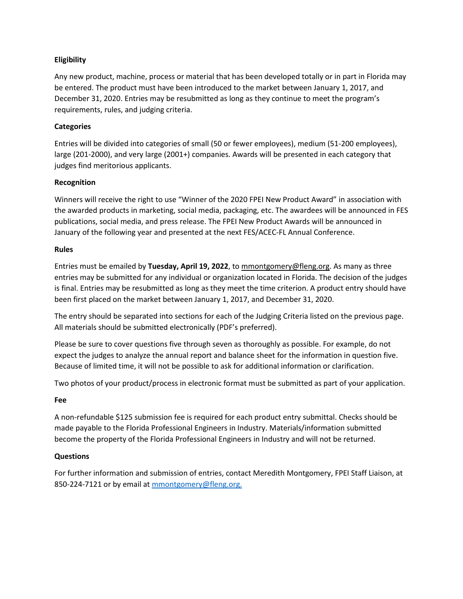## **Eligibility**

Any new product, machine, process or material that has been developed totally or in part in Florida may be entered. The product must have been introduced to the market between January 1, 2017, and December 31, 2020. Entries may be resubmitted as long as they continue to meet the program's requirements, rules, and judging criteria.

#### **Categories**

Entries will be divided into categories of small (50 or fewer employees), medium (51-200 employees), large (201-2000), and very large (2001+) companies. Awards will be presented in each category that judges find meritorious applicants.

#### **Recognition**

Winners will receive the right to use "Winner of the 2020 FPEI New Product Award" in association with the awarded products in marketing, social media, packaging, etc. The awardees will be announced in FES publications, social media, and press release. The FPEI New Product Awards will be announced in January of the following year and presented at the next FES/ACEC-FL Annual Conference.

#### **Rules**

Entries must be emailed by **Tuesday, April 19, 2022**, to [mmontgomery@fleng.org.](mailto:mmontgomery@fleng.org) As many as three entries may be submitted for any individual or organization located in Florida. The decision of the judges is final. Entries may be resubmitted as long as they meet the time criterion. A product entry should have been first placed on the market between January 1, 2017, and December 31, 2020.

The entry should be separated into sections for each of the Judging Criteria listed on the previous page. All materials should be submitted electronically (PDF's preferred).

Please be sure to cover questions five through seven as thoroughly as possible. For example, do not expect the judges to analyze the annual report and balance sheet for the information in question five. Because of limited time, it will not be possible to ask for additional information or clarification.

Two photos of your product/process in electronic format must be submitted as part of your application.

#### **Fee**

A non-refundable \$125 submission fee is required for each product entry submittal. Checks should be made payable to the Florida Professional Engineers in Industry. Materials/information submitted become the property of the Florida Professional Engineers in Industry and will not be returned.

#### **Questions**

For further information and submission of entries, contact Meredith Montgomery, FPEI Staff Liaison, at 850-224-7121 or by email at mmontgomery@fleng.org.